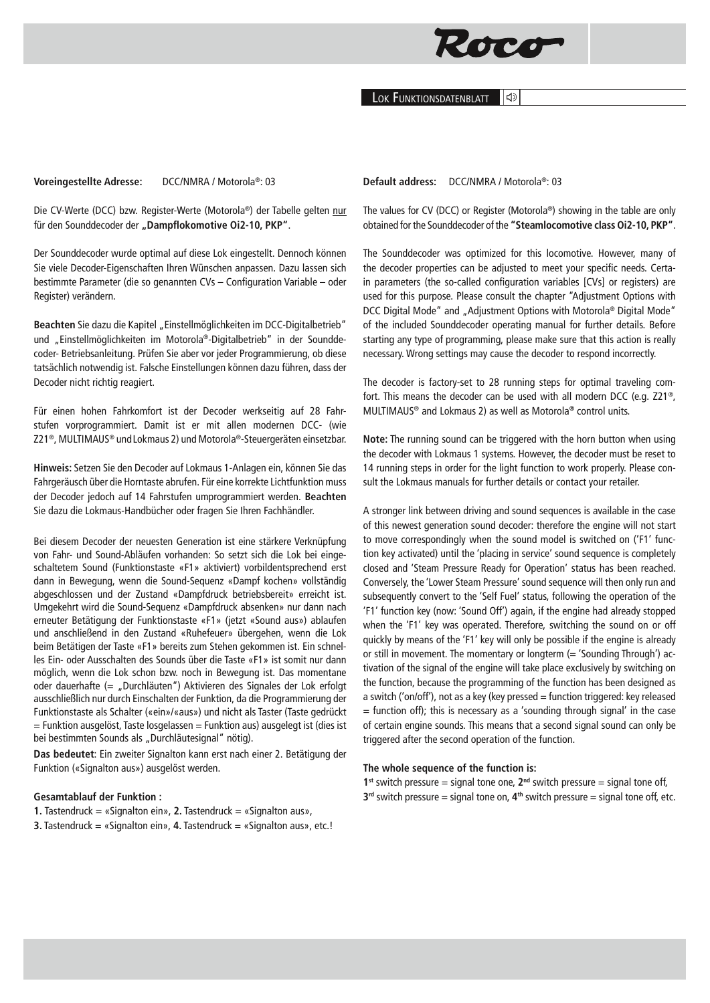

Lok Funktionsdatenblatt ା∣⊲୬

#### **Voreingestellte Adresse:** DCC/NMRA / Motorola®: 03

Die CV-Werte (DCC) bzw. Register-Werte (Motorola®) der Tabelle gelten nur für den Sounddecoder der "Dampflokomotive Oi2-10, PKP".

Der Sounddecoder wurde optimal auf diese Lok eingestellt. Dennoch können Sie viele Decoder-Eigenschaften Ihren Wünschen anpassen. Dazu lassen sich bestimmte Parameter (die so genannten CVs – Configuration Variable – oder Register) verändern.

Beachten Sie dazu die Kapitel "Einstellmöglichkeiten im DCC-Digitalbetrieb" und "Einstellmöglichkeiten im Motorola®-Digitalbetrieb" in der Sounddecoder- Betriebsanleitung. Prüfen Sie aber vor jeder Programmierung, ob diese tatsächlich notwendig ist. Falsche Einstellungen können dazu führen, dass der Decoder nicht richtig reagiert.

Für einen hohen Fahrkomfort ist der Decoder werkseitig auf 28 Fahrstufen vorprogrammiert. Damit ist er mit allen modernen DCC- (wie Z21®, MULTIMAUS® undLokmaus 2) und Motorola®-Steuergeräten einsetzbar.

**Hinweis:** Setzen Sie den Decoder auf Lokmaus 1-Anlagen ein, können Sie das Fahrgeräusch über die Horntaste abrufen. Für eine korrekte Lichtfunktion muss der Decoder jedoch auf 14 Fahrstufen umprogrammiert werden. **Beachten**  Sie dazu die Lokmaus-Handbücher oder fragen Sie Ihren Fachhändler.

Bei diesem Decoder der neuesten Generation ist eine stärkere Verknüpfung von Fahr- und Sound-Abläufen vorhanden: So setzt sich die Lok bei eingeschaltetem Sound (Funktionstaste «F1» aktiviert) vorbildentsprechend erst dann in Bewegung, wenn die Sound-Sequenz «Dampf kochen» vollständig abgeschlossen und der Zustand «Dampfdruck betriebsbereit» erreicht ist. Umgekehrt wird die Sound-Sequenz «Dampfdruck absenken» nur dann nach erneuter Betätigung der Funktionstaste «F1» (jetzt «Sound aus») ablaufen und anschließend in den Zustand «Ruhefeuer» übergehen, wenn die Lok beim Betätigen der Taste «F1» bereits zum Stehen gekommen ist. Ein schnelles Ein- oder Ausschalten des Sounds über die Taste «F1» ist somit nur dann möglich, wenn die Lok schon bzw. noch in Bewegung ist. Das momentane oder dauerhafte (= "Durchläuten") Aktivieren des Signales der Lok erfolgt ausschließlich nur durch Einschalten der Funktion, da die Programmierung der Funktionstaste als Schalter («ein»/«aus») und nicht als Taster (Taste gedrückt  $=$  Funktion ausgelöst, Taste losgelassen  $=$  Funktion aus) ausgelegt ist (dies ist bei bestimmten Sounds als "Durchläutesignal" nötig).

**Das bedeutet**: Ein zweiter Signalton kann erst nach einer 2. Betätigung der Funktion («Signalton aus») ausgelöst werden.

# **Gesamtablauf der Funktion :**

**1.** Tastendruck = «Signalton ein», **2.** Tastendruck = «Signalton aus»,

**3.** Tastendruck = «Signalton ein», **4.** Tastendruck = «Signalton aus», etc.!

**Default address:** DCC/NMRA / Motorola®: 03

The values for CV (DCC) or Register (Motorola®) showing in the table are only obtained for the Sounddecoder of the **"Steamlocomotive class Oi2-10, PKP"**.

The Sounddecoder was optimized for this locomotive. However, many of the decoder properties can be adjusted to meet your specific needs. Certain parameters (the so-called configuration variables [CVs] or registers) are used for this purpose. Please consult the chapter "Adjustment Options with DCC Digital Mode" and "Adjustment Options with Motorola® Digital Mode" of the included Sounddecoder operating manual for further details. Before starting any type of programming, please make sure that this action is really necessary. Wrong settings may cause the decoder to respond incorrectly.

The decoder is factory-set to 28 running steps for optimal traveling comfort. This means the decoder can be used with all modern DCC (e.g. Z21®, MULTIMAUS® and Lokmaus 2) as well as Motorola**®** control units.

**Note:** The running sound can be triggered with the horn button when using the decoder with Lokmaus 1 systems. However, the decoder must be reset to 14 running steps in order for the light function to work properly. Please consult the Lokmaus manuals for further details or contact your retailer.

A stronger link between driving and sound sequences is available in the case of this newest generation sound decoder: therefore the engine will not start to move correspondingly when the sound model is switched on ('F1' function key activated) until the 'placing in service' sound sequence is completely closed and 'Steam Pressure Ready for Operation' status has been reached. Conversely, the 'Lower Steam Pressure' sound sequence will then only run and subsequently convert to the 'Self Fuel' status, following the operation of the 'F1' function key (now: 'Sound Off') again, if the engine had already stopped when the 'F1' key was operated. Therefore, switching the sound on or off quickly by means of the 'F1' key will only be possible if the engine is already or still in movement. The momentary or longterm  $(= 'Sounding Through')$  activation of the signal of the engine will take place exclusively by switching on the function, because the programming of the function has been designed as a switch ('on/off'), not as a key (key pressed = function triggered: key released  $=$  function off); this is necessary as a 'sounding through signal' in the case of certain engine sounds. This means that a second signal sound can only be triggered after the second operation of the function.

# **The whole sequence of the function is:**

**1**<sup>st</sup> switch pressure = signal tone one,  $2^{nd}$  switch pressure = signal tone off, **3rd** switch pressure = signal tone on, **4th** switch pressure = signal tone off, etc.